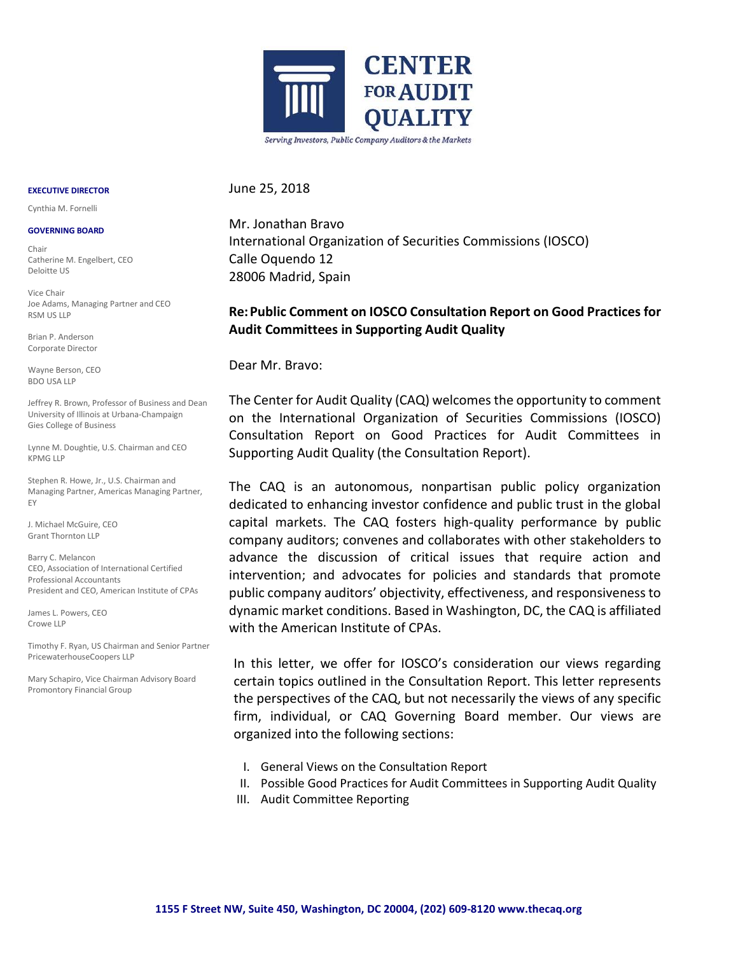

June 25, 2018

**EXECUTIVE DIRECTOR** Cynthia M. Fornelli

#### **GOVERNING BOARD**

Chair Catherine M. Engelbert, CEO Deloitte US

Vice Chair Joe Adams, Managing Partner and CEO RSM US LLP

Brian P. Anderson Corporate Director

Wayne Berson, CEO BDO USA LLP

Jeffrey R. Brown, Professor of Business and Dean University of Illinois at Urbana-Champaign Gies College of Business

Lynne M. Doughtie, U.S. Chairman and CEO KPMG LLP

Stephen R. Howe, Jr., U.S. Chairman and Managing Partner, Americas Managing Partner, EY

J. Michael McGuire, CEO Grant Thornton LLP

Barry C. Melancon CEO, Association of International Certified Professional Accountants President and CEO, American Institute of CPAs

James L. Powers, CEO Crowe LLP

Timothy F. Ryan, US Chairman and Senior Partner PricewaterhouseCoopers LLP

Mary Schapiro, Vice Chairman Advisory Board Promontory Financial Group

Mr. Jonathan Bravo International Organization of Securities Commissions (IOSCO) Calle Oquendo 12 28006 Madrid, Spain

# **Re:Public Comment on IOSCO Consultation Report on Good Practices for Audit Committees in Supporting Audit Quality**

Dear Mr. Bravo:

The Center for Audit Quality (CAQ) welcomes the opportunity to comment on the International Organization of Securities Commissions (IOSCO) Consultation Report on Good Practices for Audit Committees in Supporting Audit Quality (the Consultation Report).

The CAQ is an autonomous, nonpartisan public policy organization dedicated to enhancing investor confidence and public trust in the global capital markets. The CAQ fosters high-quality performance by public company auditors; convenes and collaborates with other stakeholders to advance the discussion of critical issues that require action and intervention; and advocates for policies and standards that promote public company auditors' objectivity, effectiveness, and responsiveness to dynamic market conditions. Based in Washington, DC, the CAQ is affiliated with the American Institute of CPAs.

In this letter, we offer for IOSCO's consideration our views regarding certain topics outlined in the Consultation Report. This letter represents the perspectives of the CAQ, but not necessarily the views of any specific firm, individual, or CAQ Governing Board member. Our views are organized into the following sections:

- I. General Views on the Consultation Report
- II. Possible Good Practices for Audit Committees in Supporting Audit Quality
- III. Audit Committee Reporting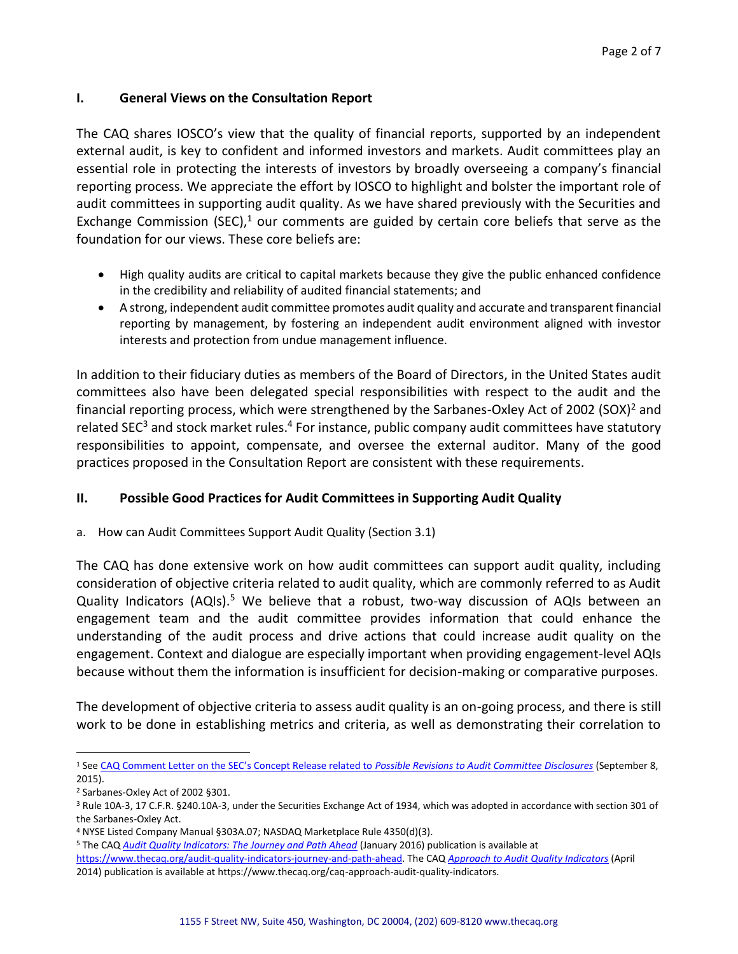# **I. General Views on the Consultation Report**

The CAQ shares IOSCO's view that the quality of financial reports, supported by an independent external audit, is key to confident and informed investors and markets. Audit committees play an essential role in protecting the interests of investors by broadly overseeing a company's financial reporting process. We appreciate the effort by IOSCO to highlight and bolster the important role of audit committees in supporting audit quality. As we have shared previously with the Securities and Exchange Commission (SEC), $1$  our comments are guided by certain core beliefs that serve as the foundation for our views. These core beliefs are:

- High quality audits are critical to capital markets because they give the public enhanced confidence in the credibility and reliability of audited financial statements; and
- A strong, independent audit committee promotes audit quality and accurate and transparent financial reporting by management, by fostering an independent audit environment aligned with investor interests and protection from undue management influence.

In addition to their fiduciary duties as members of the Board of Directors, in the United States audit committees also have been delegated special responsibilities with respect to the audit and the financial reporting process, which were strengthened by the Sarbanes-Oxley Act of 2002 (SOX)<sup>2</sup> and related SEC<sup>3</sup> and stock market rules.<sup>4</sup> For instance, public company audit committees have statutory responsibilities to appoint, compensate, and oversee the external auditor. Many of the good practices proposed in the Consultation Report are consistent with these requirements.

# **II. Possible Good Practices for Audit Committees in Supporting Audit Quality**

a. How can Audit Committees Support Audit Quality (Section 3.1)

The CAQ has done extensive work on how audit committees can support audit quality, including consideration of objective criteria related to audit quality, which are commonly referred to as Audit Quality Indicators (AQIs).<sup>5</sup> We believe that a robust, two-way discussion of AQIs between an engagement team and the audit committee provides information that could enhance the understanding of the audit process and drive actions that could increase audit quality on the engagement. Context and dialogue are especially important when providing engagement-level AQIs because without them the information is insufficient for decision-making or comparative purposes.

The development of objective criteria to assess audit quality is an on-going process, and there is still work to be done in establishing metrics and criteria, as well as demonstrating their correlation to

 $\overline{a}$ 

<sup>1</sup> See [CAQ Comment Letter on the SEC's Concept Release related to](https://www.thecaq.org/sites/default/files/caq-comment-letter---sec-concept-release-on-audit-committee-disclosures.pdf) *Possible Revisions to Audit Committee Disclosures* (September 8, 2015).

<sup>2</sup> Sarbanes-Oxley Act of 2002 §301.

<sup>3</sup> Rule 10A-3, 17 C.F.R. §240.10A-3, under the Securities Exchange Act of 1934, which was adopted in accordance with section 301 of the Sarbanes-Oxley Act.

<sup>4</sup> NYSE Listed Company Manual §303A.07; NASDAQ Marketplace Rule 4350(d)(3).

<sup>5</sup> The CAQ *[Audit Quality Indicators: The Journey and Path Ahead](https://www.thecaq.org/audit-quality-indicators-journey-and-path-ahead)* (January 2016) publication is available at

[https://www.thecaq.org/audit-quality-indicators-journey-and-path-ahead.](https://www.thecaq.org/audit-quality-indicators-journey-and-path-ahead) The CAQ *[Approach to Audit Quality Indicators](https://www.thecaq.org/caq-approach-audit-quality-indicators)* (April 2014) publication is available at https://www.thecaq.org/caq-approach-audit-quality-indicators.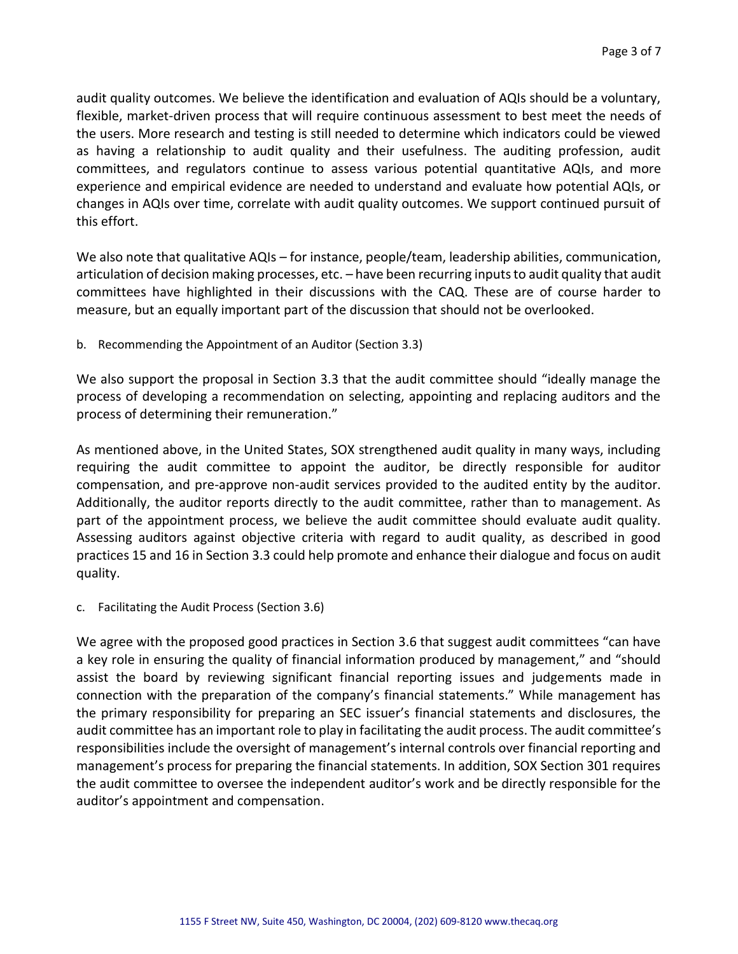audit quality outcomes. We believe the identification and evaluation of AQIs should be a voluntary, flexible, market-driven process that will require continuous assessment to best meet the needs of the users. More research and testing is still needed to determine which indicators could be viewed as having a relationship to audit quality and their usefulness. The auditing profession, audit committees, and regulators continue to assess various potential quantitative AQIs, and more experience and empirical evidence are needed to understand and evaluate how potential AQIs, or changes in AQIs over time, correlate with audit quality outcomes. We support continued pursuit of this effort.

We also note that qualitative AQIs *–* for instance, people/team, leadership abilities, communication, articulation of decision making processes, etc. *–* have been recurring inputs to audit quality that audit committees have highlighted in their discussions with the CAQ. These are of course harder to measure, but an equally important part of the discussion that should not be overlooked.

b. Recommending the Appointment of an Auditor (Section 3.3)

We also support the proposal in Section 3.3 that the audit committee should "ideally manage the process of developing a recommendation on selecting, appointing and replacing auditors and the process of determining their remuneration."

As mentioned above, in the United States, SOX strengthened audit quality in many ways, including requiring the audit committee to appoint the auditor, be directly responsible for auditor compensation, and pre-approve non-audit services provided to the audited entity by the auditor. Additionally, the auditor reports directly to the audit committee, rather than to management. As part of the appointment process, we believe the audit committee should evaluate audit quality. Assessing auditors against objective criteria with regard to audit quality, as described in good practices 15 and 16 in Section 3.3 could help promote and enhance their dialogue and focus on audit quality.

c. Facilitating the Audit Process (Section 3.6)

We agree with the proposed good practices in Section 3.6 that suggest audit committees "can have a key role in ensuring the quality of financial information produced by management," and "should assist the board by reviewing significant financial reporting issues and judgements made in connection with the preparation of the company's financial statements." While management has the primary responsibility for preparing an SEC issuer's financial statements and disclosures, the audit committee has an important role to play in facilitating the audit process. The audit committee's responsibilities include the oversight of management's internal controls over financial reporting and management's process for preparing the financial statements. In addition, SOX Section 301 requires the audit committee to oversee the independent auditor's work and be directly responsible for the auditor's appointment and compensation.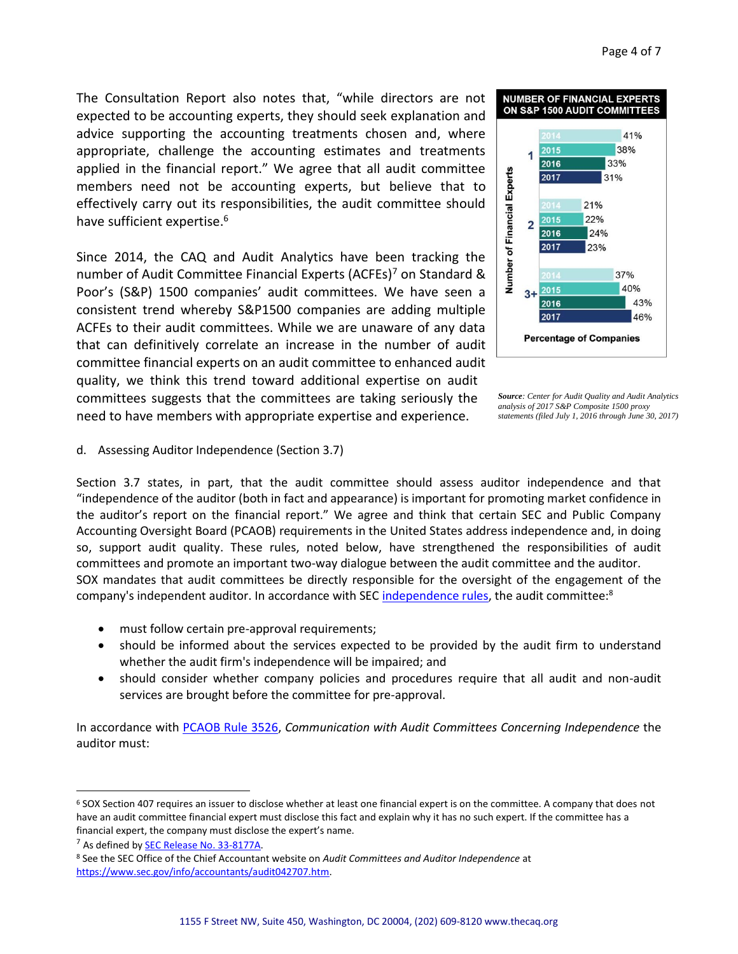The Consultation Report also notes that, "while directors are not expected to be accounting experts, they should seek explanation and advice supporting the accounting treatments chosen and, where appropriate, challenge the accounting estimates and treatments applied in the financial report." We agree that all audit committee members need not be accounting experts, but believe that to effectively carry out its responsibilities, the audit committee should have sufficient expertise.<sup>6</sup>

Since 2014, the CAQ and Audit Analytics have been tracking the number of Audit Committee Financial Experts (ACFEs)<sup>7</sup> on Standard & Poor's (S&P) 1500 companies' audit committees. We have seen a consistent trend whereby S&P1500 companies are adding multiple ACFEs to their audit committees. While we are unaware of any data that can definitively correlate an increase in the number of audit committee financial experts on an audit committee to enhanced audit quality, we think this trend toward additional expertise on audit committees suggests that the committees are taking seriously the need to have members with appropriate expertise and experience.



*Source: Center for Audit Quality and Audit Analytics analysis of 2017 S&P Composite 1500 proxy statements (filed July 1, 2016 through June 30, 2017)* 

d. Assessing Auditor Independence (Section 3.7)

Section 3.7 states, in part, that the audit committee should assess auditor independence and that "independence of the auditor (both in fact and appearance) is important for promoting market confidence in the auditor's report on the financial report." We agree and think that certain SEC and Public Company Accounting Oversight Board (PCAOB) requirements in the United States address independence and, in doing so, support audit quality. These rules, noted below, have strengthened the responsibilities of audit committees and promote an important two-way dialogue between the audit committee and the auditor. SOX mandates that audit committees be directly responsible for the oversight of the engagement of the company's independent auditor. In accordance with SEC [independence rules,](https://www.sec.gov/info/accountants/audit042707.htm) the audit committee: $8$ 

- must follow certain pre-approval requirements;
- should be informed about the services expected to be provided by the audit firm to understand whether the audit firm's independence will be impaired; and
- should consider whether company policies and procedures require that all audit and non-audit services are brought before the committee for pre-approval.

In accordance with [PCAOB Rule 3526,](https://pcaobus.org/Rules/Pages/Section_3.aspx) *Communication with Audit Committees Concerning Independence* the auditor must:

 $\overline{a}$ 

<sup>&</sup>lt;sup>6</sup> SOX Section 407 requires an issuer to disclose whether at least one financial expert is on the committee. A company that does not have an audit committee financial expert must disclose this fact and explain why it has no such expert. If the committee has a financial expert, the company must disclose the expert's name.

<sup>&</sup>lt;sup>7</sup> As defined by **SEC Release No. 33-8177A.** 

<sup>8</sup> See the SEC Office of the Chief Accountant website on *Audit Committees and Auditor Independence* at [https://www.sec.gov/info/accountants/audit042707.htm.](https://www.sec.gov/info/accountants/audit042707.htm)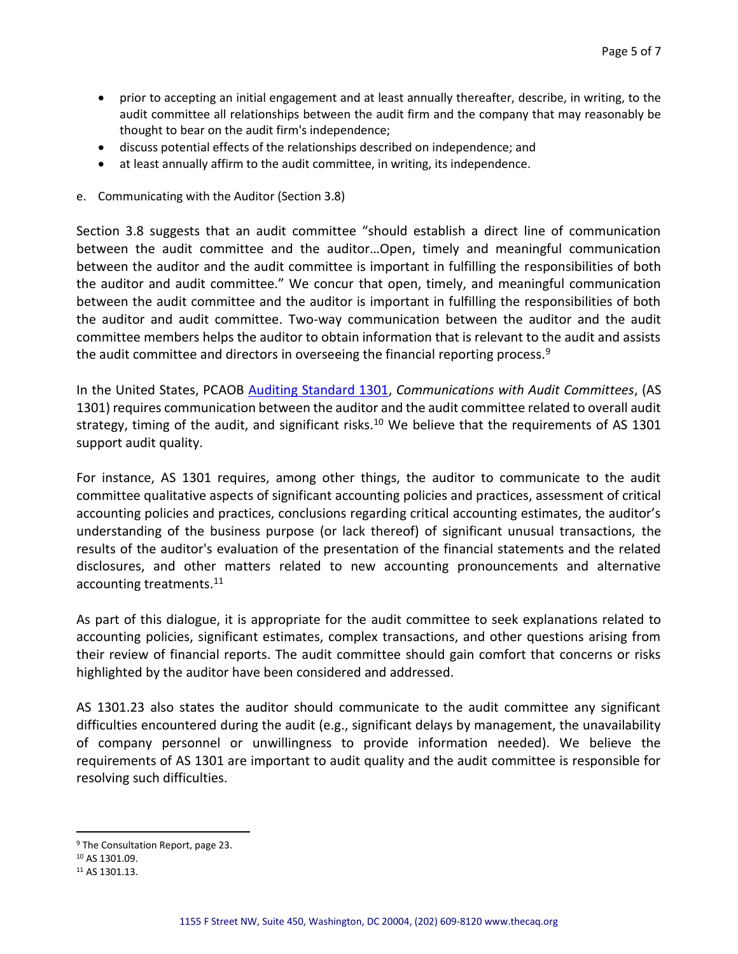- prior to accepting an initial engagement and at least annually thereafter, describe, in writing, to the audit committee all relationships between the audit firm and the company that may reasonably be thought to bear on the audit firm's independence;
- discuss potential effects of the relationships described on independence; and
- at least annually affirm to the audit committee, in writing, its independence.
- e. Communicating with the Auditor (Section 3.8)

Section 3.8 suggests that an audit committee "should establish a direct line of communication between the audit committee and the auditor…Open, timely and meaningful communication between the auditor and the audit committee is important in fulfilling the responsibilities of both the auditor and audit committee." We concur that open, timely, and meaningful communication between the audit committee and the auditor is important in fulfilling the responsibilities of both the auditor and audit committee. Two-way communication between the auditor and the audit committee members helps the auditor to obtain information that is relevant to the audit and assists the audit committee and directors in overseeing the financial reporting process. $9$ 

In the United States, PCAOB [Auditing Standard 1301,](https://pcaobus.org/Standards/Auditing/Pages/AS1301.aspx) *Communications with Audit Committees*, (AS 1301) requires communication between the auditor and the audit committee related to overall audit strategy, timing of the audit, and significant risks.<sup>10</sup> We believe that the requirements of AS 1301 support audit quality.

For instance, AS 1301 requires, among other things, the auditor to communicate to the audit committee qualitative aspects of significant accounting policies and practices, assessment of critical accounting policies and practices, conclusions regarding critical accounting estimates, the auditor's understanding of the business purpose (or lack thereof) of significant unusual transactions, the results of the auditor's evaluation of the presentation of the financial statements and the related disclosures, and other matters related to new accounting pronouncements and alternative accounting treatments.<sup>11</sup>

As part of this dialogue, it is appropriate for the audit committee to seek explanations related to accounting policies, significant estimates, complex transactions, and other questions arising from their review of financial reports. The audit committee should gain comfort that concerns or risks highlighted by the auditor have been considered and addressed.

AS 1301.23 also states the auditor should communicate to the audit committee any significant difficulties encountered during the audit (e.g., significant delays by management, the unavailability of company personnel or unwillingness to provide information needed). We believe the requirements of AS 1301 are important to audit quality and the audit committee is responsible for resolving such difficulties.

 $\overline{a}$ 

<sup>&</sup>lt;sup>9</sup> The Consultation Report, page 23.

<sup>10</sup> AS 1301.09.

<sup>11</sup> AS 1301.13.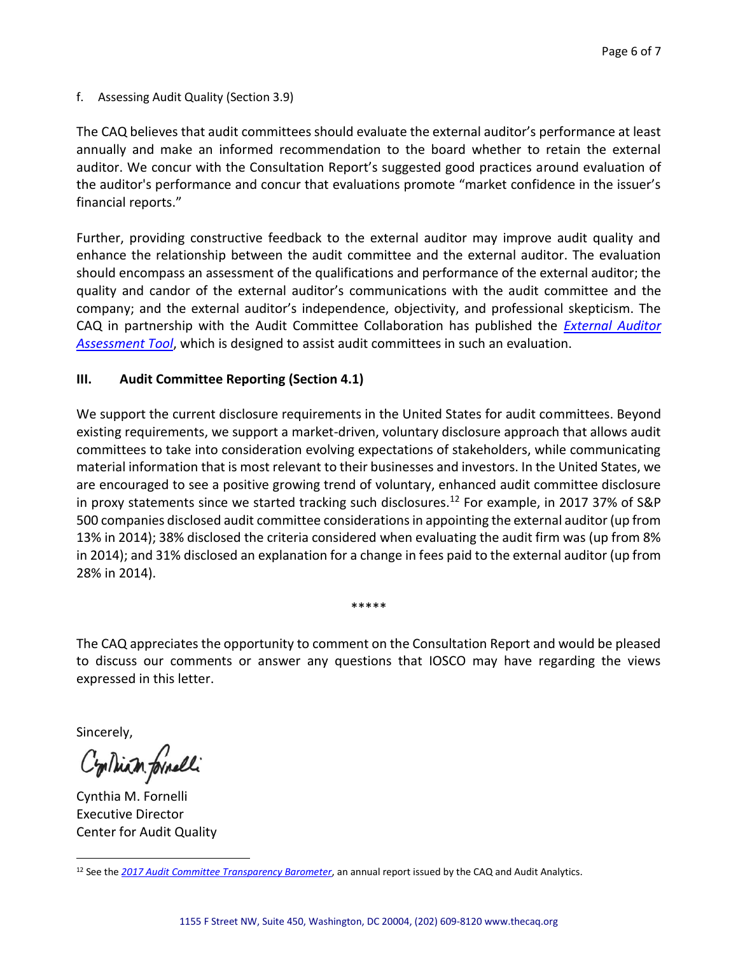f. Assessing Audit Quality (Section 3.9)

The CAQ believes that audit committees should evaluate the external auditor's performance at least annually and make an informed recommendation to the board whether to retain the external auditor. We concur with the Consultation Report's suggested good practices around evaluation of the auditor's performance and concur that evaluations promote "market confidence in the issuer's financial reports."

Further, providing constructive feedback to the external auditor may improve audit quality and enhance the relationship between the audit committee and the external auditor. The evaluation should encompass an assessment of the qualifications and performance of the external auditor; the quality and candor of the external auditor's communications with the audit committee and the company; and the external auditor's independence, objectivity, and professional skepticism. The CAQ in partnership with the Audit Committee Collaboration has published the *[External Auditor](https://www.thecaq.org/external-auditor-assessment-tool-reference-us-audit-committees-0)  [Assessment Tool](https://www.thecaq.org/external-auditor-assessment-tool-reference-us-audit-committees-0)*, which is designed to assist audit committees in such an evaluation.

#### **III. Audit Committee Reporting (Section 4.1)**

We support the current disclosure requirements in the United States for audit committees. Beyond existing requirements, we support a market-driven, voluntary disclosure approach that allows audit committees to take into consideration evolving expectations of stakeholders, while communicating material information that is most relevant to their businesses and investors. In the United States, we are encouraged to see a positive growing trend of voluntary, enhanced audit committee disclosure in proxy statements since we started tracking such disclosures.<sup>12</sup> For example, in 2017 37% of S&P 500 companies disclosed audit committee considerations in appointing the external auditor (up from 13% in 2014); 38% disclosed the criteria considered when evaluating the audit firm was (up from 8% in 2014); and 31% disclosed an explanation for a change in fees paid to the external auditor (up from 28% in 2014).

The CAQ appreciates the opportunity to comment on the Consultation Report and would be pleased to discuss our comments or answer any questions that IOSCO may have regarding the views expressed in this letter.

\*\*\*\*\*

Sincerely,

 $\overline{a}$ 

Continum formelli

Cynthia M. Fornelli Executive Director Center for Audit Quality

<sup>12</sup> See the *[2017 Audit Committee Transparency Barometer](https://www.thecaq.org/2017-audit-committee-transparency-barometer)*, an annual report issued by the CAQ and Audit Analytics.